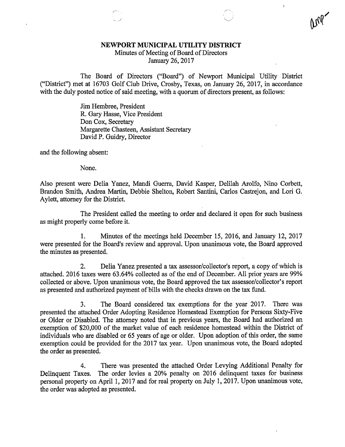## NEWPORT MUNICIPAL UTILITY DISTRICT

Minutes of Meeting of Board of Directors

January 26, 2017

The Board of Directors ("Board") of Newport Municipal Utility District ("District") met at 16703 Golf Club Drive, Crosby, Texas, on January 26, 2017, in accordance with the duly posted notice of said meeting, with a quorum of directors present, as follows:

> Jim Hembree, President R. Gary Hasse, Vice President Don Cox, Secretary Margarette Chasteen, Assistant Secretary David P. Guidry, Director

and the following absent:

None.

Also present were Delia Yanez, Mandi Guerra, David Kasper, Delilah Arolfo, Nino Corbett, Brandon Smith, Andrea Martin, Debbie Shelton, Robert Santini, Carlos Castrejon, and Lori G. Aylett, attorney for the District.

The President called the meeting to order and declared it open for such business as might properly come before it.

1. Minutes of the meetings held December 15, 2016, and January 12, 2017 were presented for the Board's review and approval. Upon unanimous vote, the Board approved the minutes as presented.

2. Delia Yanez presented a tax assessor/collector's report, a copy of which is attached. 2016 taxes were 63.64% collected as of the end of December. All prior years are 99% collected or above. Upon unanimous vote, the Board approved the tax assessor/collector's report as presented and authorized payment of bills with the checks drawn on the tax fund.

3. The Board considered tax exemptions for the year 2017. There was presented the attached Order Adopting Residence Homestead Exemption for Persons Sixty-Five or Older or Disabled. The attorney noted that in previous years, the Board had authorized an exemption of \$20,000 of the market value of each residence homestead within the District of individuals who are disabled or 65 years of age or older. Upon adoption of this order, the same exemption could be provided for the 2017 tax year. Upon unanimous vote, the Board adopted the order as presented.

4. There was presented the attached Order Levying Additional Penalty for Delinquent Taxes. The order levies a 20% penalty on 2016 delinquent taxes for business personal property on April 1, 2017 and for real property on July 1, 2017. Upon unanimous vote, the order was adopted as presented.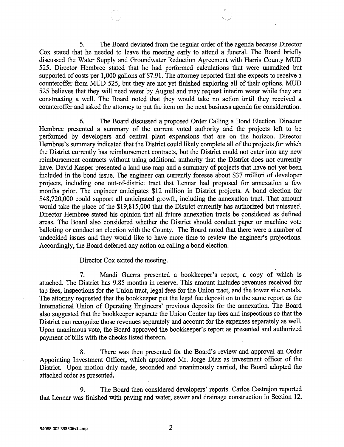5. The Board deviated from the regular order of the agenda because Director Cox stated that he needed to leave the meeting early to attend a funeral. The Board briefly discussed the Water Supply and Groundwater Reduction Agreement with Harris County MUD 525. Director Hembree stated that he had performed calculations that were unaudited but supported of costs per 1,000 gallons of \$7.91. The attorney reported that she expects to receive a counteroffer from MUD 525, but they are not yet finished exploring all of their options. MUD 525 believes that they will need water by August and may request interim water while they are constructing a well. The Board noted that they would take no action until they received a counteroffer and asked the attorney to put the item on the next business agenda for consideration.

6. The Board discussed a proposed Order Calling a Bond Election. Director Hembree presented a summary of the current voted authority and the projects left to be performed by developers and central plant expansions that are on the horizon. Director Hembree's summary indicated that the District could likely complete all of the projects for which the District currently has reimbursement contracts, but the District could not enter into any new reimbursement contracts without using additional authority that the District does not currently have. David Kasper presented a land use map and a summary of projects that have not yet been included in the bond issue. The engineer can currently foresee about \$37 million of developer projects, including one out-of-district tract that Lennar had proposed for annexation a few months prior. The engineer anticipates \$12 million in District projects. A bond election for \$48,720,000 could support all anticipated growth, including the annexation tract. That amount would take the place of the \$19,815,000 that the District currently has authorized but.unissued. Director Hembree stated his opinion that all future annexation tracts be considered as defined areas. The Board also considered whether the District should conduct paper or machine vote balloting or conduct an election with the County. The Board noted that there were a number of undecided issues and they would like to have more time to review the engineer's projections. Accordingly, the Board deferred any action on calling a bond election.

## Director Cox exited the meeting.

7. Mandi Guerra presented a bookkeeper's report, a copy of which is attached. The District has 9.85 months in reserve. This amount includes revenues received for tap fees, inspections for the Union tract, legal fees for the Union tract, and the tower site rentals. The attorney requested that the bookkeeper put the legal fee deposit on to the same report as the International Union of Operating Engineers' previous deposits for the annexation. The Board also suggested that the bookkeeper separate the Union Center tap fees and inspections so that the District can recognize those revenues separately and account for the expenses separately as well. Upon unanimous vote, the Board approved the bookkeeper's report as presented and authorized payment of bills with the checks listed thereon.

8. There was then presented for the Board's review and approval an Order Appointing Investment Officer, which appointed Mr. Jorge Diaz as investment officer of the District. Upon motion duly made, seconded and unanimously carried, the Board adopted the attached order as presented.

9. The Board then considered developers' reports. Carlos Castrejon reported that Lennar was finished with paving and water, sewer and drainage construction in Section 12.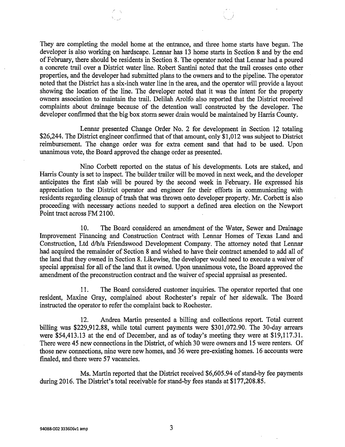They are completing the model home at the entrance, and three home starts have begun. The developer is also working on hardscape. Lennar has 13 home starts in Section 8 and by the end of February, there should be residents in Section 8. The operator noted that Lennar had a poured a concrete trail over a District water line. Robert Santini noted that the trail crosses onto other properties, and the developer had submitted plans to the owners and to the pipeline. The operator noted that the District has a six-inch water line in the area, and the operator will provide a layout showing the location of the line. The developer noted that it was the intent for the property owners association to maintain the trail. Delilah Arolfo also reported that the District received complaints about drainage because of the detention wall constructed by the developer. The developer confirmed that the big box storm sewer drain would be maintained by Harris County.

Lennar presented Change Order No. 2 for development in Section 12 totaling \$26,244. The District engineer confirmed that of that amount, only \$1,012 was subject to District reimbursement. The change order was for extra cement sand that had to be used. Upon unanimous vote, the Board approved the change order as presented.

Nino Corbett reported on the status of his developments. Lots are staked, and Harris County is set to inspect. The builder trailer will be moved in next week, and the developer anticipates the first slab will be poured by the second week in February. He expressed his appreciation to the District operator and engineer for their efforts in communicating with residents regarding cleanup of trash that was thrown onto developer property. Mr. Corbett is also proceeding with necessary actions needed to support a defined area election on the Newport Point tract across FM 2100.

10. The Board considered an amendment of the Water, Sewer and Drainage Improvement Financing and Construction Contract with Lennar Homes of Texas Land and Construction, Ltd d/b/a Friendswood Development Company. The attorney noted that Lennar had acquired the remainder of Section 8 and wished to have their contract amended to add all of the land that they owned in Section 8. Likewise, the developer would need to execute a waiver of special appraisal for all of the land that it owned. Upon unanimous vote, the Board approved the amendment of the preconstruction contract and the waiver of special appraisal as presented.

11. The Board considered customer inquiries. The operator reported that one resident, Maxine Gray, complained about Rochester's repair of her sidewalk. The Board instructed the operator to refer the complaint back to Rochester.

12. Andrea Martin presented a billing and collections report. Total current billing was \$229,912.88, while total current payments were \$301,072.90. The 30-day arrears were \$54,413.13 at the end of December, and as of today's meeting they were at \$19,117.31. There were 45 new connections in the District, of which 30 were owners and 15 were renters. Of those new connections, nine were new homes, and 36 were pre-existing homes. 16 accounts were finaled, and there were 57 vacancies.

Ms. Martin reported that the District received \$6,605.94 of stand-by fee payments during 2016. The District's total receivable for stand-by fees stands at \$177,208.85.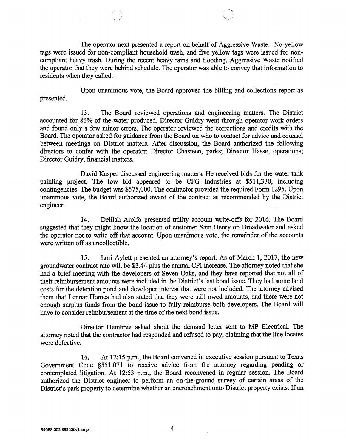The operator next presented a report on behalf of Aggressive Waste. No yellow tags were issued for non-compliant household trash, and five yellow tags were issued for noncompliant heavy trash. During the recent heavy rains and flooding, Aggressive Waste notified the operator that they were behind schedule. The operator was able to convey that information to residents when they called.

Upon unanimous vote, the Board approved the billing and collections report as presented.

13. The Board reviewed operations and engineering matters. The District accounted for 86% of the water produced. Director Guidry went through operator work orders and found only a few minor errors. The operator reviewed the corrections and credits with the Board. The operator asked for guidance from the Board on who to contact for advice and counsel between meetings on District matters. After discussion, the Board authorized the following directors to confer with the operator: Director Chasteen, parks; Director Hasse, operations; Director Guidry, financial matters.

David Kasper discussed engineering matters. He received bids for the water tank painting project. The low bid appeared to be CFG Industries at \$511,330, including contingencies. The budget was \$575,000. The contractor provided the required Form 1295. Upon unanimous vote, the Board authorized award of the contract as recommended by the District engineer.

14. Delilah Arolfo presented utility account write-offs for 2016. The Board suggested that they might know the location of customer Sam Henry on Broadwater and asked the operator not to write off that account. Upon unanimous vote, the remainder of the accounts were written off as uncollectible.

15. Lori Aylett presented an attorney's report. As of March 1, 2017, the new groundwater contract rate will be \$3.44 plus the annual CPI increase. The attorney noted that she had a brief meeting with the developers of Seven Oaks, and they have reported that not all of their reimbursement amounts were included in the District's last bond issue. They had some land costs for the detention pond and developer interest that were not included. The attorney advised them that Lennar Homes had also stated that they were still owed amounts, and there were not enough surplus funds from the bond issue to fully reimburse both developers. The Board will have to consider reimbursement at the time of the next bond issue.

Director Hembree asked about the demand letter sent to MP Electrical. The attorney noted that the contractor had responded and refused to pay, claiming that the line locates were defective.

16. At 12:15 p.m., the Board convened in executive session pursuant to Texas Government Code §551.071 to receive advice from the attorney regarding pending or contemplated litigation. At 12:53 p.m., the Board reconvened in regular session. The Board authorized the District engineer to perform an on-the-ground survey of certain areas of the District's park property to determine whether an encroachment onto District property exists. If an